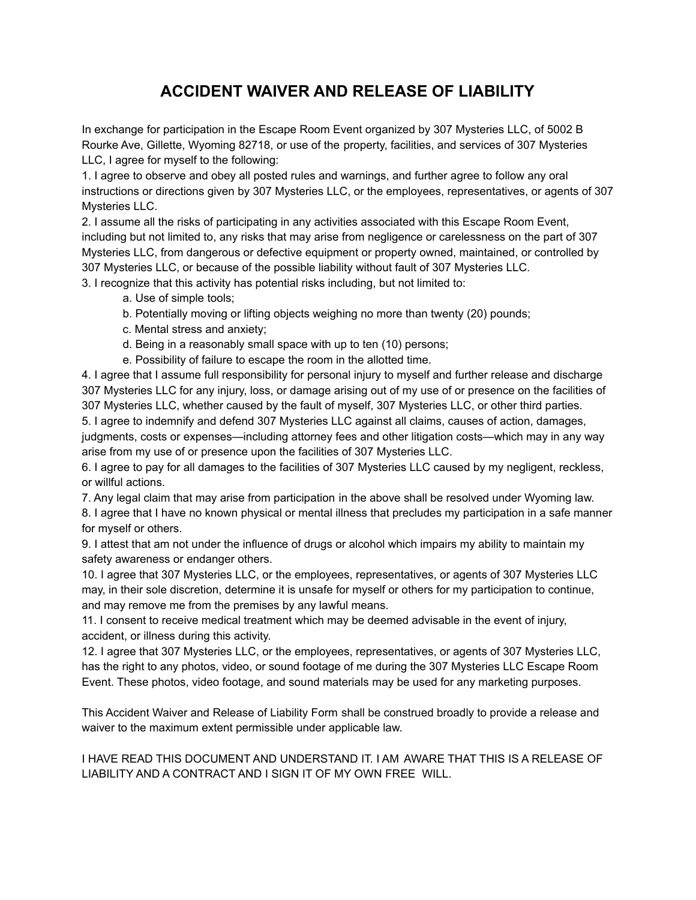## **ACCIDENT WAIVER AND RELEASE OF LIABILITY**

In exchange for participation in the Escape Room Event organized by 307 Mysteries LLC, of 5002 B Rourke Ave, Gillette, Wyoming 82718, or use of the property, facilities, and services of 307 Mysteries LLC, I agree for myself to the following:

1. I agree to observe and obey all posted rules and warnings, and further agree to follow any oral instructions or directions given by 307 Mysteries LLC, or the employees, representatives, or agents of 307 Mysteries LLC.

2. I assume all the risks of participating in any activities associated with this Escape Room Event, including but not limited to, any risks that may arise from negligence or carelessness on the part of 307 Mysteries LLC, from dangerous or defective equipment or property owned, maintained, or controlled by 307 Mysteries LLC, or because of the possible liability without fault of 307 Mysteries LLC.

3. I recognize that this activity has potential risks including, but not limited to:

a. Use of simple tools;

- b. Potentially moving or lifting objects weighing no more than twenty (20) pounds;
- c. Mental stress and anxiety;
- d. Being in a reasonably small space with up to ten (10) persons;
- e. Possibility of failure to escape the room in the allotted time.

4. I agree that I assume full responsibility for personal injury to myself and further release and discharge 307 Mysteries LLC for any injury, loss, or damage arising out of my use of or presence on the facilities of 307 Mysteries LLC, whether caused by the fault of myself, 307 Mysteries LLC, or other third parties.

5. I agree to indemnify and defend 307 Mysteries LLC against all claims, causes of action, damages, judgments, costs or expenses—including attorney fees and other litigation costs—which may in any way arise from my use of or presence upon the facilities of 307 Mysteries LLC.

6. I agree to pay for all damages to the facilities of 307 Mysteries LLC caused by my negligent, reckless, or willful actions.

7. Any legal claim that may arise from participation in the above shall be resolved under Wyoming law.

8. I agree that I have no known physical or mental illness that precludes my participation in a safe manner for myself or others.

9. I attest that am not under the influence of drugs or alcohol which impairs my ability to maintain my safety awareness or endanger others.

10. I agree that 307 Mysteries LLC, or the employees, representatives, or agents of 307 Mysteries LLC may, in their sole discretion, determine it is unsafe for myself or others for my participation to continue, and may remove me from the premises by any lawful means.

11. I consent to receive medical treatment which may be deemed advisable in the event of injury, accident, or illness during this activity.

12. I agree that 307 Mysteries LLC, or the employees, representatives, or agents of 307 Mysteries LLC, has the right to any photos, video, or sound footage of me during the 307 Mysteries LLC Escape Room Event. These photos, video footage, and sound materials may be used for any marketing purposes.

This Accident Waiver and Release of Liability Form shall be construed broadly to provide a release and waiver to the maximum extent permissible under applicable law.

## I HAVE READ THIS DOCUMENT AND UNDERSTAND IT. I AM AWARE THAT THIS IS A RELEASE OF LIABILITY AND A CONTRACT AND I SIGN IT OF MY OWN FREE WILL.